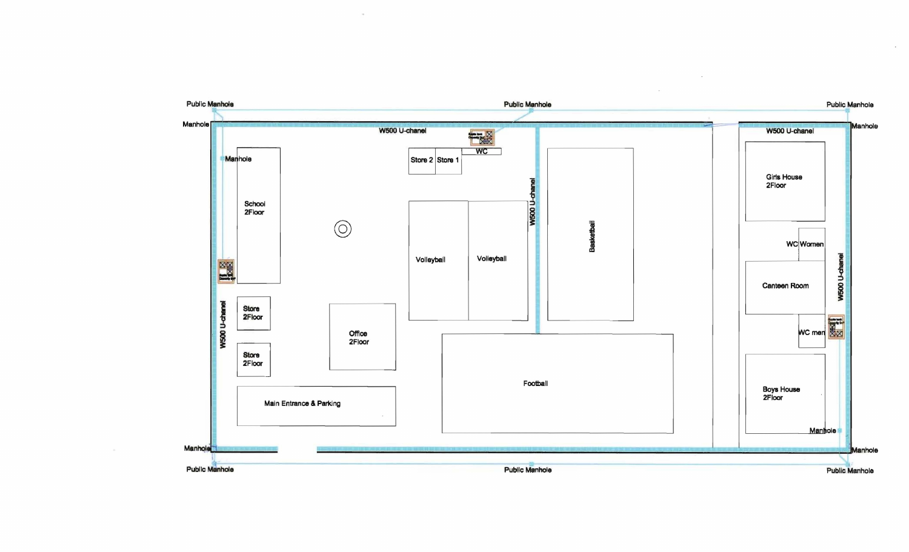